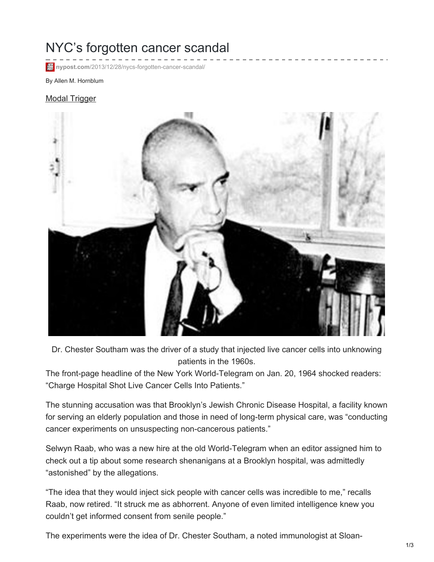## NYC's forgotten cancer scandal

**nypost.com**[/2013/12/28/nycs-forgotten-cancer-scandal/](https://nypost.com/2013/12/28/nycs-forgotten-cancer-scandal/)

## By Allen M. Hornblum

## Modal [Trigger](#page-0-0)



<span id="page-0-0"></span>Dr. Chester Southam was the driver of a study that injected live cancer cells into unknowing patients in the 1960s.

The front-page headline of the New York World-Telegram on Jan. 20, 1964 shocked readers: "Charge Hospital Shot Live Cancer Cells Into Patients."

The stunning accusation was that Brooklyn's Jewish Chronic Disease Hospital, a facility known for serving an elderly population and those in need of long-term physical care, was "conducting cancer experiments on unsuspecting non-cancerous patients."

Selwyn Raab, who was a new hire at the old World-Telegram when an editor assigned him to check out a tip about some research shenanigans at a Brooklyn hospital, was admittedly "astonished" by the allegations.

"The idea that they would inject sick people with cancer cells was incredible to me," recalls Raab, now retired. "It struck me as abhorrent. Anyone of even limited intelligence knew you couldn't get informed consent from senile people."

The experiments were the idea of Dr. Chester Southam, a noted immunologist at Sloan-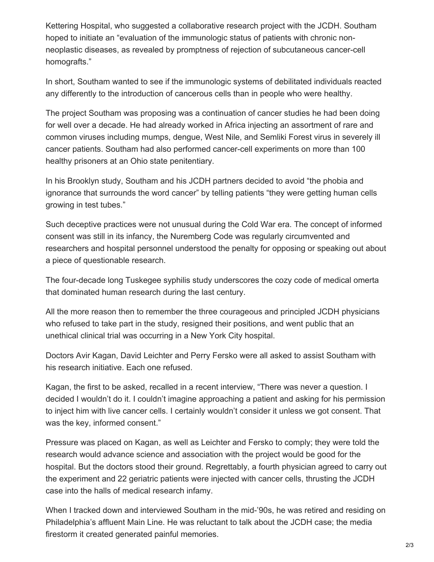Kettering Hospital, who suggested a collaborative research project with the JCDH. Southam hoped to initiate an "evaluation of the immunologic status of patients with chronic nonneoplastic diseases, as revealed by promptness of rejection of subcutaneous cancer-cell homografts."

In short, Southam wanted to see if the immunologic systems of debilitated individuals reacted any differently to the introduction of cancerous cells than in people who were healthy.

The project Southam was proposing was a continuation of cancer studies he had been doing for well over a decade. He had already worked in Africa injecting an assortment of rare and common viruses including mumps, dengue, West Nile, and Semliki Forest virus in severely ill cancer patients. Southam had also performed cancer-cell experiments on more than 100 healthy prisoners at an Ohio state penitentiary.

In his Brooklyn study, Southam and his JCDH partners decided to avoid "the phobia and ignorance that surrounds the word cancer" by telling patients "they were getting human cells growing in test tubes."

Such deceptive practices were not unusual during the Cold War era. The concept of informed consent was still in its infancy, the Nuremberg Code was regularly circumvented and researchers and hospital personnel understood the penalty for opposing or speaking out about a piece of questionable research.

The four-decade long Tuskegee syphilis study underscores the cozy code of medical omerta that dominated human research during the last century.

All the more reason then to remember the three courageous and principled JCDH physicians who refused to take part in the study, resigned their positions, and went public that an unethical clinical trial was occurring in a New York City hospital.

Doctors Avir Kagan, David Leichter and Perry Fersko were all asked to assist Southam with his research initiative. Each one refused.

Kagan, the first to be asked, recalled in a recent interview, "There was never a question. I decided I wouldn't do it. I couldn't imagine approaching a patient and asking for his permission to inject him with live cancer cells. I certainly wouldn't consider it unless we got consent. That was the key, informed consent."

Pressure was placed on Kagan, as well as Leichter and Fersko to comply; they were told the research would advance science and association with the project would be good for the hospital. But the doctors stood their ground. Regrettably, a fourth physician agreed to carry out the experiment and 22 geriatric patients were injected with cancer cells, thrusting the JCDH case into the halls of medical research infamy.

When I tracked down and interviewed Southam in the mid-'90s, he was retired and residing on Philadelphia's affluent Main Line. He was reluctant to talk about the JCDH case; the media firestorm it created generated painful memories.